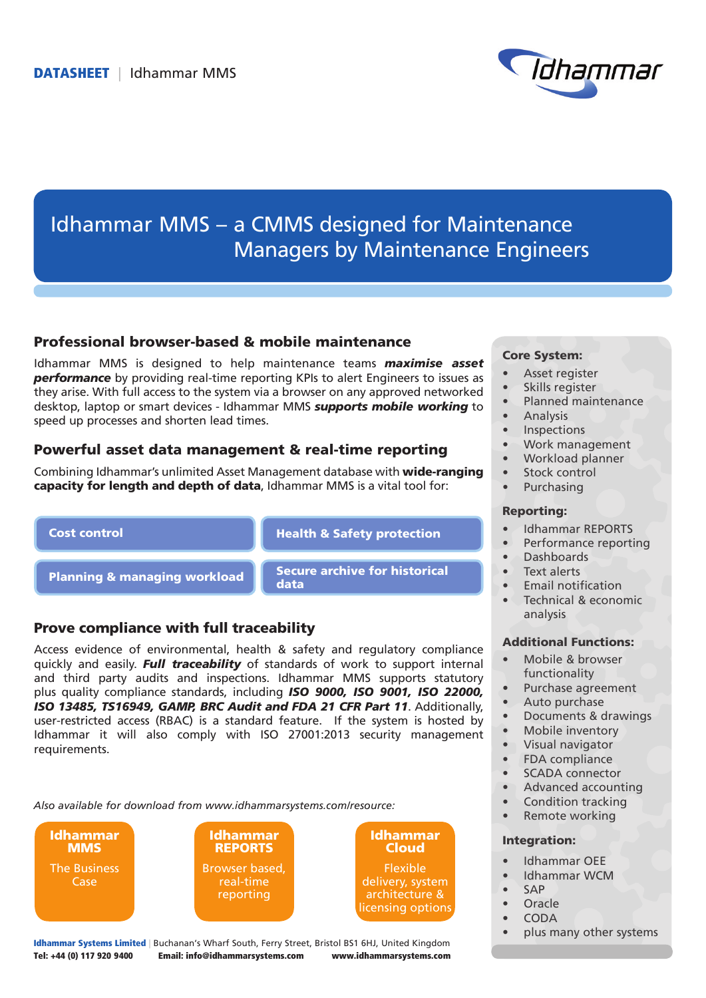

# Idhammar MMS – a CMMS designed for Maintenance Managers by Maintenance Engineers

# Professional browser-based & mobile maintenance

Idhammar MMS is designed to help maintenance teams *maximise asset performance* by providing real-time reporting KPIs to alert Engineers to issues as they arise. With full access to the system via a browser on any approved networked desktop, laptop or smart devices - Idhammar MMS *supports mobile working* to speed up processes and shorten lead times.

# Powerful asset data management & real-time reporting

Combining Idhammar's unlimited Asset Management database with wide-ranging **capacity for length and depth of data**, Idhammar MMS is a vital tool for:

### Cost control

Health & Safety protection

Planning & managing workload Secure archive for historical data

## Prove compliance with full traceability

Access evidence of environmental, health & safety and regulatory compliance quickly and easily. *Full traceability* of standards of work to support internal and third party audits and inspections. Idhammar MMS supports statutory plus quality compliance standards, including *ISO 9000, ISO 9001, ISO 22000, ISO 13485, TS16949, GAMP, BRC Audit and FDA 21 CFR Part 11*. Additionally, user-restricted access (RBAC) is a standard feature. If the system is hosted by Idhammar it will also comply with ISO 27001:2013 security management requirements.

*Also available for download from www.idhammarsystems.com/resource:*

Idhammar **MMS** The Business Case





Idhammar Systems Limited | Buchanan's Wharf South, Ferry Street, Bristol BS1 6HJ, United Kingdom Tel: +44 (0) 117 920 9400 Email: info@idhammarsystems.com www.idhammarsystems.com

### Core System:

- Asset register
- Skills register
- Planned maintenance
- **Analysis**
- • Inspections
- • Work management
- Workload planner
- Stock control
- **Purchasing**

### Reporting:

- • Idhammar REPORTS
- Performance reporting
- • Dashboards
- Text alerts
- **Email notification**
- Technical & economic analysis

#### Additional Functions:

- Mobile & browser functionality
- Purchase agreement
- Auto purchase
- • Documents & drawings
- Mobile inventory
- Visual navigator
- FDA compliance
- • SCADA connector
- • Advanced accounting
- Condition tracking
- Remote working

### Integration:

- Idhammar OEE
- Idhammar WCM
- • SAP
- • Oracle
- • CODA
- plus many other systems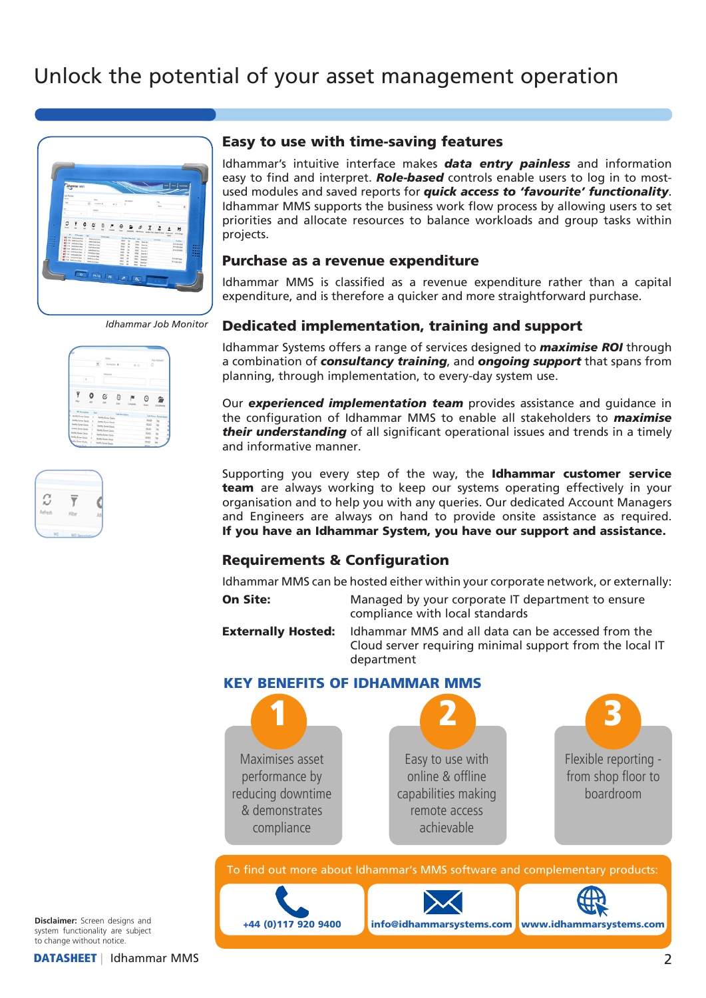

*Idhammar Job Monitor*

|                                                   |                 | 8 | <b>State</b>                  | <b>Donpler &amp;</b> | 41.0     | $\circ$          | Auto-Radrauk)             |  |
|---------------------------------------------------|-----------------|---|-------------------------------|----------------------|----------|------------------|---------------------------|--|
| $\alpha$                                          |                 |   | Reinera                       |                      |          |                  |                           |  |
| ▼<br>izu-                                         | ٥<br><b>LKF</b> |   | C<br>10 <sup>2</sup>          | ö<br>Copy            | Complete | $\circ$<br>Hours | 睂<br>Documuser            |  |
| <b>Wileying Tell</b><br><b>ARR</b> Burner Decks 1 |                 |   | <b>Rothly Burner Checks</b>   | Tak Sources          |          |                  | Talk Status, Parent Asset |  |
| Letty Surver Decks 1                              |                 |   | <b>Rothly Burner Davis</b>    |                      |          | <b>FSES</b>      | 38                        |  |
| ladij (une Dade )                                 |                 |   | <b>Rivery Burner Checks</b>   |                      |          | 43.43            | 76                        |  |
| anti-fune Deds 1                                  |                 |   | <b>Riverily Burner Checks</b> |                      |          | 63,63            | $^{76}$                   |  |
| Letty Surver Decks 1                              |                 |   | <b>Rintly Burner Checks</b>   |                      |          | 65.63            | 78                        |  |
|                                                   |                 |   |                               |                      |          | mon              |                           |  |
| folly fune Dels 1<br>(6) Turne Deck 1             |                 |   | <b>Rothly Banar Decks</b>     |                      |          |                  | 78                        |  |



# Easy to use with time-saving features

Idhammar's intuitive interface makes *data entry painless* and information easy to find and interpret. *Role-based* controls enable users to log in to mostused modules and saved reports for *quick access to 'favourite' functionality*. Idhammar MMS supports the business work flow process by allowing users to set priorities and allocate resources to balance workloads and group tasks within projects.

## Purchase as a revenue expenditure

Idhammar MMS is classified as a revenue expenditure rather than a capital expenditure, and is therefore a quicker and more straightforward purchase.

# Dedicated implementation, training and support

Idhammar Systems offers a range of services designed to *maximise ROI* through a combination of *consultancy training*, and *ongoing support* that spans from planning, through implementation, to every-day system use.

Our *experienced implementation team* provides assistance and guidance in the configuration of Idhammar MMS to enable all stakeholders to *maximise their understanding* of all significant operational issues and trends in a timely and informative manner.

Supporting you every step of the way, the Idhammar customer service team are always working to keep our systems operating effectively in your organisation and to help you with any queries. Our dedicated Account Managers and Engineers are always on hand to provide onsite assistance as required. If you have an Idhammar System, you have our support and assistance.

# Requirements & Configuration

Idhammar MMS can be hosted either within your corporate network, or externally:

On Site: Managed by your corporate IT department to ensure compliance with local standards

Externally Hosted: Idhammar MMS and all data can be accessed from the Cloud server requiring minimal support from the local IT department

# KEY BENEFITS OF IDHAMMAR MMS



**Disclaimer:** Screen designs and system functionality are subject to change without notice.

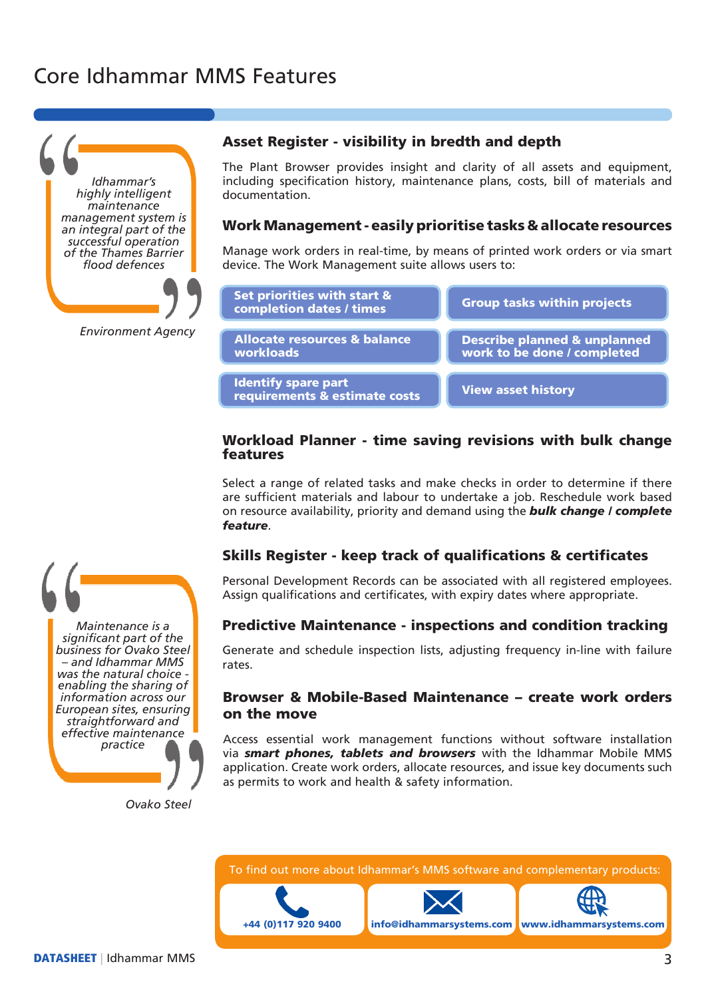# Core Idhammar MMS Features



*Environment Agency*

### Asset Register - visibility in bredth and depth

The Plant Browser provides insight and clarity of all assets and equipment, including specification history, maintenance plans, costs, bill of materials and documentation.

### Work Management - easily prioritise tasks & allocate resources

Manage work orders in real-time, by means of printed work orders or via smart device. The Work Management suite allows users to:



## Workload Planner - time saving revisions with bulk change features

Select a range of related tasks and make checks in order to determine if there are sufficient materials and labour to undertake a job. Reschedule work based on resource availability, priority and demand using the *bulk change / complete feature*.

## Skills Register - keep track of qualifications & certificates

Personal Development Records can be associated with all registered employees. Assign qualifications and certificates, with expiry dates where appropriate.

### Predictive Maintenance - inspections and condition tracking

Generate and schedule inspection lists, adjusting frequency in-line with failure rates.

## Browser & Mobile-Based Maintenance – create work orders on the move

Access essential work management functions without software installation via *smart phones, tablets and browsers* with the Idhammar Mobile MMS application. Create work orders, allocate resources, and issue key documents such as permits to work and health & safety information.

*Ovako Steel*

*Maintenance is a significant part of the business for Ovako Steel – and Idhammar MMS was the natural choice enabling the sharing of information across our European sites, ensuring straightforward and effective maintenance practice*